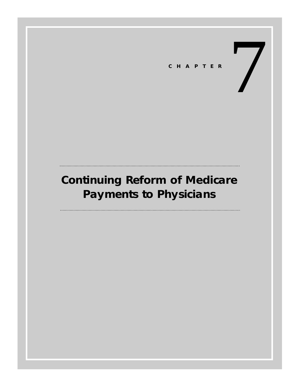7 **CHAPTER**

# **Continuing Reform of Medicare Payments to Physicians**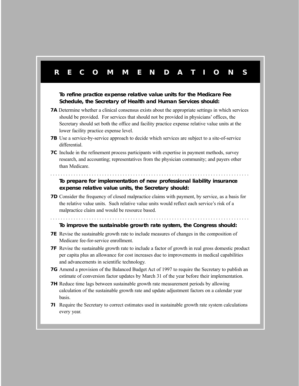# **RECOMMENDA TIONS To refine practice expense relative value units for the Medicare Fee Schedule, the Secretary of Health and Human Services should: 7A** Determine whether a clinical consensus exists about the appropriate settings in which services should be provided. For services that should not be provided in physicians' offices, the Secretary should set both the office and facility practice expense relative value units at the lower facility practice expense level. **7B** Use a service-by-service approach to decide which services are subject to a site-of-service differential. **7C** Include in the refinement process participants with expertise in payment methods, survey research, and accounting; representatives from the physician community; and payers other than Medicare. . . . . . . . . . . . . . . . . . . . . . . . . . . . . . . . . . . . . . . . . . . . . . . . . . . . . . . . . . . . . . . . . . . . . . . . . . . . . . **To prepare for implementation of new professional liability insurance expense relative value units, the Secretary should: 7D** Consider the frequency of closed malpractice claims with payment, by service, as a basis for the relative value units. Such relative value units would reflect each service's risk of a malpractice claim and would be resource based. . . . . . . . . . . . . . . . . . . . . . . . . . . . . . . . . . . . . . . . . . . . . . . . . . . . . . . . . . . . . . . . . . . . . . . . . . . . . . **To improve the sustainable growth rate system, the Congress should: 7E** Revise the sustainable growth rate to include measures of changes in the composition of Medicare fee-for-service enrollment. **7F** Revise the sustainable growth rate to include a factor of growth in real gross domestic product per capita plus an allowance for cost increases due to improvements in medical capabilities and advancements in scientific technology. **7G** Amend a provision of the Balanced Budget Act of 1997 to require the Secretary to publish an estimate of conversion factor updates by March 31 of the year before their implementation. **7H** Reduce time lags between sustainable growth rate measurement periods by allowing calculation of the sustainable growth rate and update adjustment factors on a calendar year basis. **7I** Require the Secretary to correct estimates used in sustainable growth rate system calculations every year.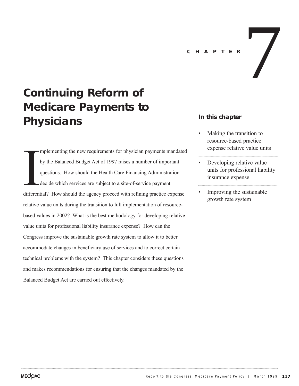# 7 **CHAPTER**

# **Continuing Reform of Medicare Payments to Physicians**

different mplementing the new requirements for physician payments mandated by the Balanced Budget Act of 1997 raises a number of important questions. How should the Health Care Financing Administration decide which services are subject to a site-of-service payment differential? How should the agency proceed with refining practice expense relative value units during the transition to full implementation of resourcebased values in 2002? What is the best methodology for developing relative value units for professional liability insurance expense? How can the Congress improve the sustainable growth rate system to allow it to better accommodate changes in beneficiary use of services and to correct certain technical problems with the system? This chapter considers these questions and makes recommendations for ensuring that the changes mandated by the Balanced Budget Act are carried out effectively.

# **In this chapter**

- Making the transition to resource-based practice expense relative value units
- Developing relative value units for professional liability insurance expense
- Improving the sustainable growth rate system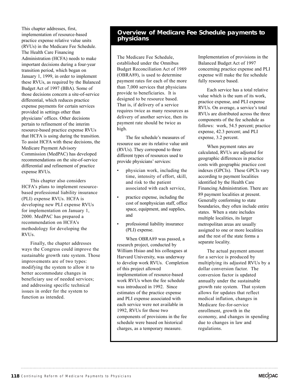This chapter addresses, first, implementation of resource-based practice expense relative value units (RVUs) in the Medicare Fee Schedule. The Health Care Financing Administration (HCFA) needs to make important decisions during a four-year transition period, which began on January 1, 1999, in order to implement these RVUs, as required by the Balanced Budget Act of 1997 (BBA). Some of those decisions concern a site-of-service differential, which reduces practice expense payments for certain services provided in settings other than physicians' offices. Other decisions pertain to refinement of the interim resource-based practice expense RVUs that HCFA is using during the transition. To assist HCFA with these decisions, the Medicare Payment Advisory Commission (MedPAC) has developed recommendations on the site-of-service differential and refinement of practice expense RVUs.

This chapter also considers HCFA's plans to implement resourcebased professional liability insurance (PLI) expense RVUs. HCFA is developing new PLI expense RVUs for implementation on January 1, 2000. MedPAC has prepared a recommendation on HCFA's methodology for developing the RVUs.

Finally, the chapter addresses ways the Congress could improve the sustainable growth rate system. Those improvements are of two types: modifying the system to allow it to better accommodate changes in beneficiary use of needed services; and addressing specific technical issues in order for the system to function as intended.

# **Overview of Medicare Fee Schedule payments to physicians**

The Medicare Fee Schedule, established under the Omnibus Budget Reconciliation Act of 1989 (OBRA89), is used to determine payment rates for each of the more than 7,000 services that physicians provide to beneficiaries. It is designed to be resource based. That is, if delivery of a service requires twice as many resources as delivery of another service, then its payment rate should be twice as high.

The fee schedule's measures of resource use are its relative value unit (RVUs). They correspond to three different types of resources used to provide physicians' services:

- physician work, including the time, intensity of effort, skill, and risk to the patient associated with each service,
- practice expense, including the cost of nonphysician staff, office space, equipment, and supplies, and
- professional liability insurance (PLI) expense.

When OBRA89 was passed, a research project, conducted by William Hsiao and his colleagues at Harvard University, was underway to develop work RVUs. Completion of this project allowed implementation of resource-based work RVUs when the fee schedule was introduced in 1992. Since estimates of the practice expense and PLI expense associated with each service were not available in 1992, RVUs for those two components of provisions in the fee schedule were based on historical charges, as a temporary measure.

Implementation of provisions in the Balanced Budget Act of 1997 concerning practice expense and PLI expense will make the fee schedule fully resource based.

Each service has a total relative value which is the sum of its work, practice expense, and PLI expense RVUs. On average, a service's total RVUs are distributed across the three components of the fee schedule as follows: work, 54.5 percent; practice expense, 42.3 percent; and PLI expense, 3.2 percent.

When payment rates are calculated, RVUs are adjusted for geographic differences in practice costs with geographic practice cost indexes (GPCIs). These GPCIs vary according to payment localities identified by the Health Care Financing Administration. There are 89 payment localities at present. Generally conforming to state boundaries, they often include entire states. When a state includes multiple localities, its larger metropolitan areas are usually assigned to one or more localities and the rest of the state forms a separate locality.

The actual payment amount for a service is produced by multiplying its adjusted RVUs by a dollar conversion factor. The conversion factor is updated annually under the sustainable growth rate system. That system allows for updates that reflect medical inflation, changes in Medicare fee-for-service enrollment, growth in the economy, and changes in spending due to changes in law and regulations.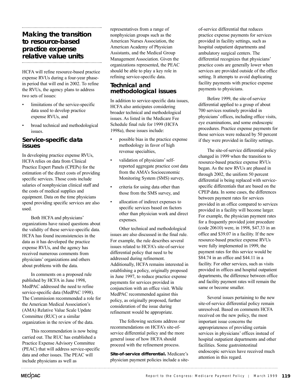# **Making the transition to resource-based practice expense relative value units**

HCFA will refine resource-based practice expense RVUs during a four-year phasein period that will end in 2002. To refine the RVUs, the agency plans to address two sets of issues:

- limiitations of the service-specific data used to develop practice expense RVUs, and
- broad technical and methodological issues.

# **Service-specific data issues**

In developing practice expense RVUs, HCFA relies on data from Clinical Practice Expert Panels (CPEPs) for the estimation of the direct costs of providing specific services. Those costs include salaries of nonphysician clinical staff and the costs of medical supplies and equipment. Data on the time physicians spend providing specific services are also used.

Both HCFA and physicians' organizations have raised questions about the validity of these service-specific data. HCFA has found inconsistencies in the data as it has developed the practice expense RVUs, and the agency has received numerous comments from physicians' organizations and others about problems with the data.

In comments on a proposed rule published by HCFA in June 1998, MedPAC addressed the need to refine service-specific data (MedPAC 1998). The Commission recommended a role for the American Medical Association's (AMA) Relative Value Scale Update Committee (RUC) or a similar organization in the review of the data.

This recommendation is now being carried out. The RUC has established a Practice Expense Advisory Committee (PEAC) that will address service-specific data and other issues. The PEAC will include physicians as well as

representatives from a range of nonphysician groups such as the American Nurses Association, the American Academy of Physician Assistants, and the Medical Group Management Association. Given the organizations represented, the PEAC should be able to play a key role in refining service-specific data.

# **Technical and methodological issues**

In addition to service-specific data issues, HCFA also anticipates considering broader technical and methodological issues. As listed in the Medicare Fee Schedule final rule for 1999 (HCFA 1998a), these issues include:

- possible bias in the practice expense methodology in favor of high revenue specialties,
- validation of physicians' selfreported aggregate practice cost data from the AMA's Socioeconomic Monitoring System (SMS) survey,
- criteria for using data other than those from the SMS survey, and
- allocation of indirect expenses to specific services based on factors other than physician work and direct expenses.

Other technical and methodological issues are also discussed in the final rule. For example, the rule describes several issues related to HCFA's site-of-service differential policy that need to be addressed during refinement. Additionally, HCFA remains interested in establishing a policy, originally proposed in June 1997, to reduce practice expense payments for services provided in conjunction with an office visit. While MedPAC recommended against this policy, as originally proposed, further consideration of the issue during refinement would be appropriate.

The following sections address our recommendations on HCFA's site-ofservice differential policy and the more general issue of how HCFA should proceed with the refinement process.

**Site-of-service differential.** Medicare's physician payment policies include a siteof-service differential that reduces practice expense payments for services provided in facility settings, such as hospital outpatient departments and ambulatory surgical centers. The differential recognizes that physicians' practice costs are generally lower when services are provided outside of the office setting. It attempts to avoid duplicating facility payments with practice expense payments to physicians.

Before 1999, the site-of-service differential applied to a group of about 700 services routinely provided in physicians' offices, including office visits, eye examinations, and some endoscopic procedures. Practice expense payments for those services were reduced by 50 percent if they were provided in facility settings.

The site-of-service differential policy changed in 1999 when the transition to resource-based practice expense RVUs began. As the new RVUs are phased in through 2002, the uniform 50 percent differential is being replaced with servicespecific differentials that are based on the CPEP data. In some cases, the differences between payment rates for services provided in an office compared to services provided in a facility will become larger. For example, the physician payment rates for a frequently provided joint procedure (code 20610) were, in 1998, \$47.33 in an office and \$39.07 in a facility. If the new resource-based practice expense RVUs were fully implemented in 1999, the payment rates for this service would be \$84.74 in an office and \$44.11 in a facility. For other services, such as visits provided in offices and hospital outpatient departments, the difference between office and facility payment rates will remain the same or become smaller.

Several issues pertaining to the new site-of-service differential policy remain unresolved. Based on comments HCFA received on the new policy, the most important issue concerns the appropriateness of providing certain services in physicians' offices instead of hospital outpatient departments and other facilities. Some gastrointestinal endoscopic services have received much attention in this regard.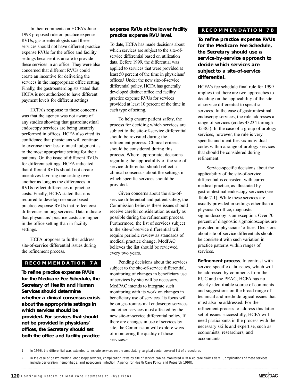In their comments on HCFA's June 1998 proposed rule on practice expense RVUs, gastroenterologists said these services should not have different practice expense RVUs for the office and facility settings because it is unsafe to provide these services in an office. They were also concerned that different RVUs could create an incentive for delivering the services in the inappropriate office setting. Finally, the gastroenterologists stated that HCFA is not authorized to have different payment levels for different settings.

HCFA's response to these concerns was that the agency was not aware of any studies showing that gastrointestinal endoscopy services are being unsafely performed in offices. HCFA also cited its confidence that physicians will continue to exercise their best clinical judgment as to the most appropriate setting for their patients. On the issue of different RVUs for different settings, HCFA indicated that different RVUs should not create incentives favoring one setting over another as long as the differences in RVUs reflect differences in practice costs. Finally, HCFA stated that it is required to develop resource-based practice expense RVUs that reflect cost differences among services. Data indicate that physicians' practice costs are higher in the office setting than in facility settings.

HCFA proposes to further address site-of-service differential issues during the refinement process.

#### **RECOMMENDATION 7A**

**To refine practice expense RVUs for the Medicare Fee Schedule, the Secretary of Health and Human Services should determine whether a clinical consensus exists about the appropriate settings in which services should be provided. For services that should not be provided in physicians' offices, the Secretary should set both the office and facility practice**

#### **expense RVUs at the lower facility practice expense RVU level.**

To date, HCFA has made decisions about which services are subject to the site-ofservice differential based on utilization data. Before 1999, the differential was applied to services that were provided at least 50 percent of the time in physicians' offices.1 Under the new site-of-service differential policy, HCFA has generally developed distinct office and facility practice expense RVUs for services provided at least 10 percent of the time in each type of setting.

To help ensure patient safety, the process for deciding which services are subject to the site-of-service differential should be revisited during the refinement process. Clinical criteria should be considered during this process. Where appropriate, decisions regarding the applicability of the site-ofservice differential should reflect a clinical consensus about the settings in which specific services should be provided.

Given concerns about the site-ofservice differential and patient safety, the Commission believes these issues should receive careful consideration as early as possible during the refinement process. Furthermore, the list of services subject to the site-of-service differential will require periodic review as standards of medical practice change. MedPAC believes the list should be reviewed every two years.

Pending decisions about the services subject to the site-of-service differential, monitoring of changes in beneficiary use of services by site will be necessary. MedPAC intends to integrate such monitoring with its work on changes in beneficiary use of services. Its focus will be on gastrointestinal endoscopy services and other services most affected by the new site-of-service differential policy. If there are changes in use of services by site, the Commission will explore ways of monitoring the quality of those services.2

# **RECOMMENDA TION 7B**

**To refine practice expense RVUs for the Medicare Fee Schedule, the Secretary should use a service-by-service approach to decide which services are subject to a site-of-service differential.**

HCFA's fee schedule final rule for 1999 implies that there are two approaches to deciding on the applicability of the siteof-service differential to specific services. In the case of gastrointestinal endoscopy services, the rule addresses a range of services (codes 43234 through 45385). In the case of a group of urology services, however, the rule is very specific and identifies six individual codes within a range of urology services that should be considered during refinement.

Service-specific decisions about the applicability of the site-of-service differential is consistent with current medical practice, as illustrated by gastrointestinal endoscopy services (see Table 7-1). While these services are usually provided in settings other than a physician's office, diagnostic sigmoidoscopy is an exception. Over 70 percent of diagnostic sigmoidoscopies are provided in physicians' offices. Decisions about site-of-service differentials should be consistent with such variation in practice patterns within ranges of services.

**Refinement process**. In contrast with service-specific data issues, which will be addressed by comments from the RUC and the PEAC, HCFA has no clearly identifiable source of comments and suggestions on the broad range of technical and methodological issues that must also be addressed. For the refinement process to address this latter set of issues successfully, HCFA will need participants in the process with the necessary skills and expertise, such as economists, researchers, and accountants.

1 In 1996, the differential was extended to include services on the ambulatory surgical center covered list of procedures.

<sup>2</sup> In the case of gastrointestinal endoscopy services, complication rates by site of service can be monitored with Medicare claims data. Complications of these services include perforation, hemorrhage, and nosocomial infection (Agency for Health Care Policy and Research 1998).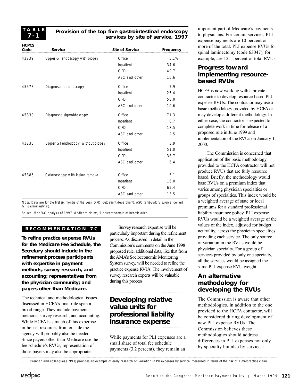**T ABLE 7-1**

#### **Provision of the top five gastrointestinal endoscopy services by site of service, 1997**

| <b>HCPCS</b><br>Code | <b>Service</b>                     | <b>Site of Service</b> | Frequency |
|----------------------|------------------------------------|------------------------|-----------|
| 43239                | Upper GI endoscopy with biopsy     | Office                 | 5.1%      |
|                      |                                    | Inpatient              | 34.6      |
|                      |                                    | OPD                    | 49.7      |
|                      |                                    | ASC and other          | 10.6      |
| 45378                | Diagnostic colonoscopy             | Office                 | 5.9       |
|                      |                                    | Inpatient              | 25.4      |
|                      |                                    | OPD                    | 58.0      |
|                      |                                    | ASC and other          | 10.6      |
| 45330                | Diagnostic sigmoidoscopy           | Office                 | 71.3      |
|                      |                                    | Inpatient              | 8.7       |
|                      |                                    | OPD                    | 17.5      |
|                      |                                    | ASC and other          | 2.5       |
| 43235                | Upper GI endoscopy, without biopsy | Office                 | 3.9       |
|                      |                                    | Inpatient              | 51.0      |
|                      |                                    | OPD                    | 38.7      |
|                      |                                    | ASC and other          | 6.4       |
| 45385                | Colonoscopy with lesion removal    | Office                 | 5.1       |
|                      |                                    | Inpatient              | 16.0      |
|                      |                                    | OPD                    | 65.4      |
|                      |                                    | ASC and other          | 13.5      |

Note: Data are for the first six months of the year. OPD (outpatient department). ASC (ambulatory surgical center). GI (gastrointestinal).

Source: MedPAC analysis of 1997 Medicare claims, 5 percent sample of beneficiaries.

#### **RECOMMENDA TION 7C**

**To refine practice expense RVUs for the Medicare Fee Schedule, the Secretary should include in the refinement process participants with expertise in payment methods, survey research, and accounting; representatives from the physician community; and payers other than Medicare.**

The technical and methodological issues discussed in HCFA's final rule span a broad range. They include payment methods, survey research, and accounting. While HCFA has much of this expertise in-house, resources from outside the agency will probably also be needed. Since payers other than Medicare use the fee schedule's RVUs, representation of those payers may also be appropriate.

Survey research expertise will be particularly important during the refinement process. As discussed in detail in the Commission's comments on the June 1998 proposed rule, additional data, like that from the AMA's Socioeconomic Monitoring System survey, will be needed to refine the practice expense RVUs. The involvement of survey research experts will be valuable during this process.

# **Developing relative value units for professional liability insurance expense**

While payments for PLI expenses are a small share of total fee schedule payments (3.2 percent), they remain an important part of Medicare's payments to physicians. For certain services, PLI expense payments are 10 percent or more of the total. PLI expense RVUs for spinal laminectomy (code 63047), for example, are 12.1 percent of total RVUs.

# **Progress toward implementing resourcebased RVUs**

HCFA is now working with a private contractor to develop resource-based PLI expense RVUs. The contractor may use a basic methodology provided by HCFA or may develop a different methodology. In either case, the contractor is expected to complete work in time for release of a proposed rule in June 1999 and implementation of the RVUs on January 1, 2000.

The Commission is concerned that application of the basic methodology provided to the HCFA contractor will not produce RVUs that are fully resource based. Briefly, the methodology would base RVUs on a premium index that varies among physician specialties or groups of specialties. This index would be a weighted average of state or local premiums for a standard professional liability insurance policy. PLI expense RVUs would be a weighted average of the values of the index, adjusted for budget neutrality, across the physician specialties providing each service. The only source of variation in the RVUs would be physician specialty. For a group of services provided by only one specialty, all the services would be assigned the same PLI expense RVU weight.

# **An alternative methodology for developing the RVUs**

The Commission is aware that other methodologies, in addition to the one provided to the HCFA contactor, will be considered during development of new PLI expense RVUs. The Commission believes these methodologies should address differences in PLI expenses not only by specialty but also by service.3

3 Brennan and colleagues (1993) provides an example of early research on variation in PLI expenses by service, measured in terms of the risk of a malpractice claim.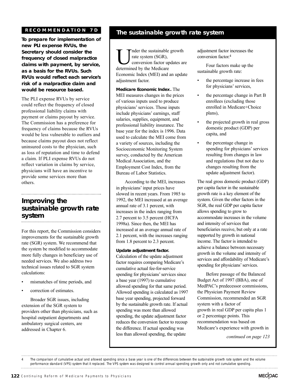# **RECOMMENDA TION 7D**

**To prepare for implementation of new PLI expense RVUs, the Secretary should consider the frequency of closed malpractice claims with payment, by service, as a basis for the RVUs. Such RVUs would reflect each service's risk of a malpractice claim and would be resource based.**

The PLI expense RVUs by service could reflect the frequency of closed professional liability claims with payment or claims payout by service. The Commission has a preference for frequency of claims because the RVUs would be less vulnerable to outliers and because claims payout does not reflect uninsured costs to the physician, such as loss of reputation and time to defend a claim. If PLI expense RVUs do not reflect variation in claims by service, physicians will have an incentive to provide some services more than others.

# **Improving the sustainable growth rate system**

For this report, the Commission considers improvements for the sustainable growth rate (SGR) system. We recommend that the system be modified to accommodate more fully changes in beneficiary use of needed services. We also address two technical issues related to SGR system calculations:

- mismatches of time periods, and
- correction of estimates.

Broader SGR issues, including extension of the SGR system to providers other than physicians, such as hospital outpatient departments and ambulatory surgical centers, are addressed in Chapter 6.

# **The sustainable growth rate system**

Inder the sustainable growth rate system (SGR), conversion factor updates are determined by the Medicare Economic Index (MEI) and an update adjustment factor.

**Medicare Economic Index.** The MEI measures changes in the prices of various inputs used to produce physicians'services. Those inputs include physicians' earnings, staff salaries, supplies, equipment, and professional liability insurance. The base year for the index is 1996. Data used to calculate the MEI come from a variety of sources, including the Socioeconomic Monitoring System survey, conducted by the American Medical Association, and the Employment Cost Index, from the Bureau of Labor Statistics.

According to the MEI, increases in physicians' input prices have slowed in recent years. From 1985 to 1992, the MEI increased at an average annual rate of 3.1 percent, with increases in the index ranging from 2.7 percent to 3.5 percent (HCFA 1998a). Since then, the MEI has increased at an average annual rate of 2.1 percent, with the increases ranging from 1.8 percent to 2.3 percent.

**Update adjustment factor.** Calculation of the update adjustment factor requires comparing Medicare's cumulative actual fee-for-service spending for physicians' services since a base year (1997) to cumulative allowed spending for that same period. Allowed spending is calculated as 1997 base year spending, projected forward by the sustainable growth rate. If actual spending was more than allowed spending, the update adjustment factor reduces the conversion factor to recoup the difference. If actual spending was less than allowed spending, the update

adjustment factor increases the conversion factor. 4

Four factors make up the sustainable growth rate:

- the percentage increase in fees for physicians' services,
- the percentage change in Part B enrollees (excluding those enrolled in Medicare+Choice plans),
- the projected growth in real gross domestic product (GDP) per capita, and
- the percentage change in spending for physicians' services resulting from changes in law and regulations (but not due to changes resulting from the update adjustment factor).

The real gross domestic product (GDP) per capita factor in the sustainable growth rate is a key element of the system. Given the other factors in the SGR, the real GDP per capita factor allows spending to grow to accommodate increases in the volume and intensity of services that beneficiaries receive, but only at a rate supported by growth in national income. The factor is intended to achieve a balance between necessary growth in the volume and intensity of services and affordability of Medicare's spending for physicians' services.

Before passage of the Balanced Budget Act of 1997 (BBA), one of MedPAC's predecessor commissions, the Physician Payment Review Commission, recommended an SGR system with a factor of growth in real GDP per capita plus 1 or 2 percentage points. This recommendation was based on Medicare's experience with growth in

*continued on page 123*

<sup>4</sup> The comparison of cumulative actual and allowed spending since a base year is one of the differences between the sustainable growth rate system and the volume performance standard (VPS) system that it replaced. The VPS system was designed to control annual spending growth only and not cumulative spending.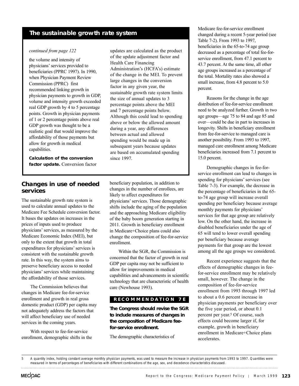# **The sustainable growth rate system**

#### *continued from page 122*

the volume and intensity of physicians'services provided to beneficiaries (PPRC 1997). In 1990, when Physician Payment Review Commission (PPRC) first recommended linking growth in physician payments to growth in GDP, volume and intensity growth exceeded real GDP growth by 4 to 5 percentage points. Growth in physician payments of 1 or 2 percentage points above real GDP growth was thought to be a realistic goal that would improve the affordability of those payments but allow for growth in medical capabilities.

**Calculation of the conversion factor update.** Conversion factor updates are calculated as the product of the update adjustment factor and Health Care Financing Administration's (HCFA's) estimate of the change in the MEI. To prevent large changes in the conversion factor in any given year, the sustainable growth rate system limits the size of annual updates to 3 percentage points above the MEI and 7 percentage points below. Although this could lead to spending above or below the allowed amount during a year, any differences between actual and allowed spending would be made up in subsequent years because updates are based on accumulated spending since 1997.

# **Changes in use of needed services**

The sustainable growth rate system is used to calculate annual updates to the Medicare Fee Schedule conversion factor. It bases the updates on increases in the prices of inputs used to produce physicians'services, as measured by the Medicare Economic Index (MEI), but only to the extent that growth in total expenditures for physicians' services is consistent with the sustainable growth rate. In this way, the system aims to preserve beneficiary access to needed physicians'services while maintaining the affordability of those services.

The Commission believes that changes in Medicare fee-for-service enrollment and growth in real gross domestic product (GDP) per capita may not adequately address the factors that will affect beneficiary use of needed services in the coming years.

With respect to fee-for-service enrollment, demographic shifts in the beneficiary population, in addition to changes in the number of enrollees, are likely to affect expenditures for physicians'services. Those demographic shifts include the aging of the population and the approaching Medicare eligibility of the baby boom generation starting in 2011. Growth in beneficiary enrollment in Medicare+Choice plans could also change the composition of fee-for-service enrollment.

Within the SGR, the Commission is concerned that the factor of growth in real GDP per capita may not be sufficient to allow for improvements in medical capabilities and advancements in scientific technology that are characteristic of health care (Newhouse 1993).

#### **RECOMMENDA TION 7E**

**The Congress should revise the SGR to include measures of changes in the composition of Medicare feefor-service enrollment.**

The demographic characteristics of

Medicare fee-for-service enrollment changed during a recent 5-year period (see Table 7-2). From 1993 to 1997, beneficiaries in the 65-to-74 age group decreased as a percentage of total fee-forservice enrollment, from 47.1 percent to 43.7 percent. At the same time, all other age groups increased as a percentage of the total. Mortality rates also showed a small increase, from 4.8 percent to 5.0 percent.

Reasons for the change in the age distribution of fee-for-service enrollment need to be analyzed further. Growth in two age groups—age 75 to 84 and age 85 and over—could be due in part to increases in longevity. Shifts in beneficiary enrollment from fee-for-service to managed care is another possibility. From 1993 to 1997, managed care enrollment among Medicare beneficiaries increased from 7.1 percent to 15.0 percent.

Demographic changes in fee-forservice enrollment can lead to changes in spending for physicians' services (see Table 7-3). For example, the decrease in the percentage of beneficiaries in the 65 to-74 age group will increase overall spending per beneficiary because average monthly payments for physicians' services for that age group are relatively low. On the other hand, the increase in disabled beneficiaries under the age of 65 will tend to lower overall spending per beneficiary because average payments for that group are the lowest among all the age groups we considered.

Recent experience suggests that the effects of demographic changes in feefor-service enrollment may be relatively small, however. The change in the composition of fee-for-service enrollment from 1993 through 1997 led to about a 0.6 percent increase in physician payments per beneficiary over the five year period, or about 0.1 percent per year.5 Of course, such effects could become larger if, for example, growth in beneficiary enrollment in Medicare+Choice plans accelerates.

<sup>5</sup> A quantity index, holding constant average monthly physician payments, was used to measure the increase in physician payments from 1993 to 1997. Quantities were measured in terms of percentages of beneficiaries with different combinations of the age, sex, and decedence characteristics discussed.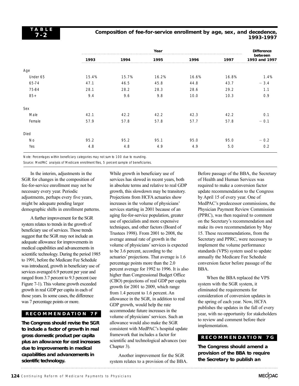### **Composition of fee-for-service enrollment by age, sex, and decedence, 1993-1997**

|          |       |       | Year  |       |       | <b>Difference</b>        |
|----------|-------|-------|-------|-------|-------|--------------------------|
|          | 1993  | 1994  | 1995  | 1996  | 1997  | between<br>1993 and 1997 |
| Age      |       |       |       |       |       |                          |
| Under 65 | 15.4% | 15.7% | 16.2% | 16.6% | 16.8% | 1.4%                     |
| 65-74    | 47.1  | 46.5  | 45.8  | 44.8  | 43.7  | $-3.4$                   |
| 75-84    | 28.1  | 28.2  | 28.3  | 28.6  | 29.2  | 1.1                      |
| $85+$    | 9.4   | 9.6   | 9.8   | 10.0  | 10.3  | 0.9                      |
| Sex      |       |       |       |       |       |                          |
| Male     | 42.1  | 42.2  | 42.2  | 42.3  | 42.2  | 0.1                      |
| Female   | 57.9  | 57.8  | 57.8  | 57.7  | 57.8  | $-0.1$                   |
| Died     |       |       |       |       |       |                          |
| No       | 95.2  | 95.2  | 95.1  | 95.0  | 95.0  | $-0.2$                   |
| Yes      | 4.8   | 4.8   | 4.9   | 4.9   | 5.0   | 0.2                      |

Note: Percentages within beneficiary categories may not sum to 100 due to rounding.

Source: MedPAC analysis of Medicare enrollment files, 5 percent sample of beneficiaries.

In the interim, adjustments in the SGR for changes in the composition of fee-for-service enrollment may not be necessary every year. Periodic adjustments, perhaps every five years, might be adequate pending larger demographic shifts in enrollment patterns.

Afurther improvement for the SGR system relates to trends in the growth of beneficiary use of services. Those trends suggest that the SGR may not include an adequate allowance for improvements in medical capabilities and advancements in scientific technology. During the period 1985 to 1991, before the Medicare Fee Schedule was introduced, growth in beneficiary use of services averaged 6.9 percent per year and ranged from 3.7 percent to 9.3 percent (see Figure 7-1). This volume growth exceeded growth in real GDP per capita in each of those years. In some cases, the difference was 7 percentage points or more.

# **RECOMMENDA TION 7F**

**The Congress should revise the SGR to include a factor of growth in real gross domestic product per capita plus an allowance for cost increases due to improvements in medical capabilities and advancements in scientific technology.**

While growth in beneficiary use of services has slowed in recent years, both in absolute terms and relative to real GDP growth, this slowdown may be transitory. Projections from HCFA actuaries show increases in the volume of physicians' services starting in 2001 because of an aging fee-for-service population, greater use of specialists and more expensive techniques, and other factors (Board of Trustees 1998). From 2001 to 2008, the average annual rate of growth in the volume of physicians'services is expected to be 3.6 percent, according to the actuaries' projections. That average is 1.6 percentage points more than the 2.0 percent average for 1992 to 1996. It is also higher than Congressional Budget Office (CBO) projections of real GDP per capita growth for 2001 to 2009, which range from 1.4 percent to 1.6 percent. An allowance in the SGR, in addition to real GDP growth, would help the rate accommodate future increases in the volume of physicians'services. Such an allowance would also make the SGR consistent with MedPAC's hospital update framework that includes a factor for scientific and technological advances (see Chapter 3).

Another improvement for the SGR system relates to a provision of the BBA.

Before passage of the BBA, the Secretary of Health and Human Services was required to make a conversion factor update recommendation to the Congress by April 15 of every year. One of MedPAC's predecessor commissions, the Physician Payment Review Commission (PPRC), was then required to comment on the Secretary's recommendation and make its own recommendation by May 15. These recommendations, from the Secretary and PPRC, were necessary to implement the volume performance standards (VPS) system used to update annually the Medicare Fee Schedule conversion factor before passage of the BBA.

When the BBA replaced the VPS system with the SGR system, it eliminated the requirements for consideration of conversion updates in the spring of each year. Now, HCFA publishes the updates in the fall of every year, with no opportunity for stakeholders to review and comment before their implementation.

### **RECOMMENDATION 7G**

**The Congress should amend a provision of the BBA to require the Secretary to publish an**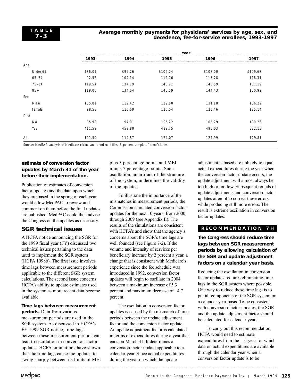#### **Average monthly payments for physicians' services by age, sex, and decedence, fee-for-service enrollees, 1993-1997**

|           | Year    |         |          |          |          |  |  |
|-----------|---------|---------|----------|----------|----------|--|--|
|           | 1993    | 1994    | 1995     | 1996     | 1997     |  |  |
| Age       |         |         |          |          |          |  |  |
| Under 65  | \$86.01 | \$96.76 | \$106.24 | \$108.00 | \$109.67 |  |  |
| $65 - 74$ | 92.52   | 104.14  | 112.76   | 113.78   | 118.31   |  |  |
| 75-84     | 119.54  | 134.19  | 145.21   | 145.59   | 151.19   |  |  |
| $85+$     | 119.00  | 134.64  | 145.59   | 144.43   | 150.92   |  |  |
| Sex       |         |         |          |          |          |  |  |
| Male      | 105.81  | 119.42  | 129.60   | 131.18   | 136.22   |  |  |
| Female    | 98.53   | 110.69  | 120.04   | 120.46   | 125.14   |  |  |
| Died      |         |         |          |          |          |  |  |
| <b>No</b> | 85.98   | 97.01   | 105.22   | 105.79   | 109.26   |  |  |
| Yes       | 411.59  | 459.80  | 489.75   | 495.03   | 522.15   |  |  |
| All       | 101.59  | 114.37  | 124.07   | 124.99   | 129.81   |  |  |

# **estimate of conversion factor updates by March 31 of the year before their implementation.**

Publication of estimates of conversion factor updates and the data upon which they are based in the spring of each year would allow MedPAC to review and comment on them before the final updates are published. MedPAC could then advise the Congress on the updates as necessary.

# **SGR technical issues**

A HCFA notice announcing the SGR for the 1999 fiscal year (FY) discussed two technical issues pertaining to the data used to implement the SGR system (HCFA 1998b). The first issue involves time lags between measurement periods applicable to the different SGR system calculations. The second issue concerns HCFA's ability to update estimates used in the system as more recent data become available.

# **Time lags between measurement**

**periods.** Data from various measurement periods are used in the SGR system. As discussed in HCFA's FY 1999 SGR notice, time lags between these measurement periods can lead to oscillation in conversion factor updates. HCFA simulations have shown that the time lags cause the updates to swing sharply between its limits of MEI plus 3 percentage points and MEI minus 7 percentage points. Such oscillation, an artifact of the structure of the system, undermines the validity of the updates.

To illustrate the importance of the mismatches in measurement periods, the Commission simulated conversion factor updates for the next 10 years, from 2000 through 2009 (see Appendix E). The results of the simulations are consistent with HCFA's and show that the agency's concerns about the SGR's time lags are well founded (see Figure 7-2). If the volume and intensity of services per beneficiary increase by 2 percent a year, a change that is consistent with Medicare's experience since the fee schedule was introduced in 1992, conversion factor updates will begin to oscillate in 2004 between a maximum increase of 5.3 percent and maximum decrease of –4.7 percent.

The oscillation in conversion factor updates is caused by the mismatch of time periods between the update adjustment factor and the conversion factor update. An update adjustment factor is calculated in terms of expenditures during a year that ends on March 31. It determines a conversion factor update applicable to a calendar year. Since actual expenditures during the year on which the update

adjustment is based are unlikely to equal actual expenditures during the year when the conversion factor update occurs, the update adjustment will almost always be too high or too low. Subsequent rounds of update adjustments and conversion factor updates attempt to correct these errors while producing still more errors. The result is extreme oscillation in conversion factor updates.

# **RECOMMENDA TION 7H**

**The Congress should reduce time lags between SGR measurement periods by allowing calculation of the SGR and update adjustment factors on a calendar year basis.**

Reducing the oscillation in conversion factor updates requires eliminating time lags in the SGR system where possible. One way to reduce these time lags is to put all components of the SGR system on a calendar year basis. To be consistent with conversion factor updates, the SGR and the update adjustment factor should be calculated for calendar years.

To carry out this recommendation, HCFA would need to estimate expenditures from the last year for which data on actual expenditures are available through the calendar year when a conversion factor update is to be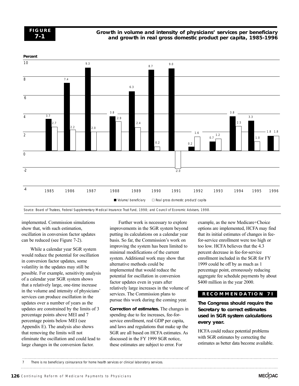

#### **Growth in volume and intensity of physicians' services per beneficiary and growth in real gross domestic product per capita, 1985-1996**



Source: Board of Trustees, Federal Supplementary Medical Insurance Trust Fund, 1998; and Council of Economic Advisers, 1998.

implemented. Commission simulations show that, with such estimation, oscillation in conversion factor updates can be reduced (see Figure 7-2).

While a calendar year SGR system would reduce the potential for oscillation in conversion factor updates, some volatility in the updates may still be possible. For example, sensitivity analysis of a calendar year SGR system shows that a relatively large, one-time increase in the volume and intensity of physicians' services can produce oscillation in the updates over a number of years as the updates are constrained by the limits of 3 percentage points above MEI and 7 percentage points below MEI (see Appendix E). The analysis also shows that removing the limits will not eliminate the oscillation and could lead to large changes in the conversion factor.

Further work is necessary to explore improvements in the SGR system beyond putting its calculations on a calendar year basis. So far, the Commission's work on improving the system has been limited to minimal modifications of the current system. Additional work may show that alternative methods could be implemented that would reduce the potential for oscillation in conversion factor updates even in years after relatively large increases in the volume of services. The Commission plans to pursue this work during the coming year.

**Correction of estimates.** The changes in spending due to fee increases, fee-forservice enrollment, real GDP per capita, and laws and regulations that make up the SGR are all based on HCFA estimates. As discussed in the FY 1999 SGR notice, these estimates are subject to error. For

example, as the new Medicare+Choice options are implemented, HCFA may find that its initial estimates of changes in feefor-service enrollment were too high or too low. HCFA believes that the 4.3 percent decrease in fee-for-service enrollment included in the SGR for FY 1999 could be off by as much as 1 percentage point, erroneously reducing aggregate fee schedule payments by about \$400 million in the year 2000.

#### **RECOMMENDA TION 7I**

# **The Congress should require the Secretary to correct estimates used in SGR system calculations every year.**

HCFA could reduce potential problems with SGR estimates by correcting the estimates as better data become available.

<sup>7</sup> There is no beneficiary coinsurance for home health services or clinical laboratory services.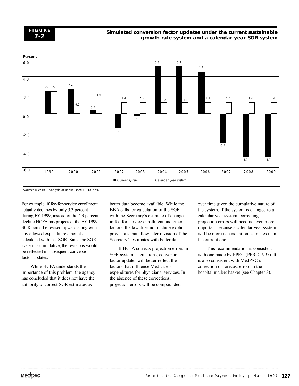**FIGURE 7-2**

#### **Simulated conversion factor updates under the current sustainable growth rate system and a calendar year SGR system**



For example, if fee-for-service enrollment actually declines by only 3.3 percent during FY 1999, instead of the 4.3 percent decline HCFA has projected, the FY 1999 SGR could be revised upward along with any allowed expenditure amounts calculated with that SGR. Since the SGR system is cumulative, the revisions would be reflected in subsequent conversion factor updates.

While HCFA understands the importance of this problem, the agency has concluded that it does not have the authority to correct SGR estimates as

better data become available. While the BBA calls for calculation of the SGR with the Secretary's estimate of changes in fee-for-service enrollment and other factors, the law does not include explicit provisions that allow later revision of the Secretary's estimates with better data.

If HCFA corrects projection errors in SGR system calculations, conversion factor updates will better reflect the factors that influence Medicare's expenditures for physicians' services. In the absence of these corrections, projection errors will be compounded

over time given the cumulative nature of the system. If the system is changed to a calendar year system, correcting projection errors will become even more important because a calendar year system will be more dependent on estimates than the current one.

This recommendation is consistent with one made by PPRC (PPRC 1997). It is also consistent with MedPAC's correction of forecast errors in the hospital market basket (see Chapter 3).